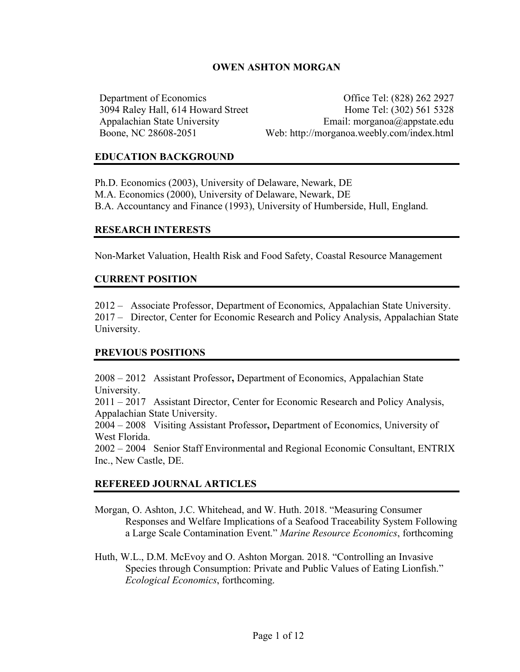# **OWEN ASHTON MORGAN**

Department of Economics Office Tel: (828) 262 2927 3094 Raley Hall, 614 Howard Street Home Tel: (302) 561 5328 Appalachian State University Email: morganoa@appstate.edu Boone, NC 28608-2051 Web: http://morganoa.weebly.com/index.html

### **EDUCATION BACKGROUND**

Ph.D. Economics (2003), University of Delaware, Newark, DE M.A. Economics (2000), University of Delaware, Newark, DE B.A. Accountancy and Finance (1993), University of Humberside, Hull, England.

#### **RESEARCH INTERESTS**

Non-Market Valuation, Health Risk and Food Safety, Coastal Resource Management

#### **CURRENT POSITION**

2012 – Associate Professor, Department of Economics, Appalachian State University. 2017 – Director, Center for Economic Research and Policy Analysis, Appalachian State University.

#### **PREVIOUS POSITIONS**

2008 – 2012 Assistant Professor**,** Department of Economics, Appalachian State University.

2011 – 2017 Assistant Director, Center for Economic Research and Policy Analysis, Appalachian State University.

2004 – 2008 Visiting Assistant Professor**,** Department of Economics, University of West Florida.

2002 – 2004 Senior Staff Environmental and Regional Economic Consultant, ENTRIX Inc., New Castle, DE.

#### **REFEREED JOURNAL ARTICLES**

- Morgan, O. Ashton, J.C. Whitehead, and W. Huth. 2018. "Measuring Consumer Responses and Welfare Implications of a Seafood Traceability System Following a Large Scale Contamination Event." *Marine Resource Economics*, forthcoming
- Huth, W.L., D.M. McEvoy and O. Ashton Morgan. 2018. "Controlling an Invasive Species through Consumption: Private and Public Values of Eating Lionfish." *Ecological Economics*, forthcoming.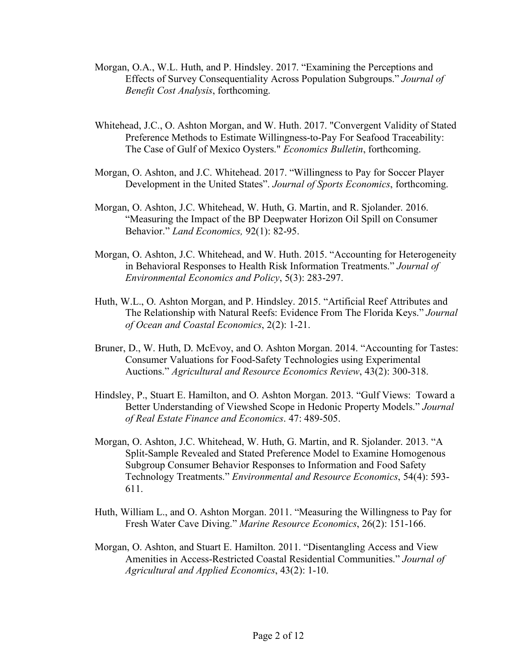- Morgan, O.A., W.L. Huth, and P. Hindsley. 2017. "Examining the Perceptions and Effects of Survey Consequentiality Across Population Subgroups." *Journal of Benefit Cost Analysis*, forthcoming.
- Whitehead, J.C., O. Ashton Morgan, and W. Huth. 2017. "Convergent Validity of Stated Preference Methods to Estimate Willingness-to-Pay For Seafood Traceability: The Case of Gulf of Mexico Oysters." *Economics Bulletin*, forthcoming.
- Morgan, O. Ashton, and J.C. Whitehead. 2017. "Willingness to Pay for Soccer Player Development in the United States". *Journal of Sports Economics*, forthcoming.
- Morgan, O. Ashton, J.C. Whitehead, W. Huth, G. Martin, and R. Sjolander. 2016. "Measuring the Impact of the BP Deepwater Horizon Oil Spill on Consumer Behavior." *Land Economics,* 92(1): 82-95.
- Morgan, O. Ashton, J.C. Whitehead, and W. Huth. 2015. "Accounting for Heterogeneity in Behavioral Responses to Health Risk Information Treatments." *Journal of Environmental Economics and Policy*, 5(3): 283-297.
- Huth, W.L., O. Ashton Morgan, and P. Hindsley. 2015. "Artificial Reef Attributes and The Relationship with Natural Reefs: Evidence From The Florida Keys." *Journal of Ocean and Coastal Economics*, 2(2): 1-21.
- Bruner, D., W. Huth, D. McEvoy, and O. Ashton Morgan. 2014. "Accounting for Tastes: Consumer Valuations for Food-Safety Technologies using Experimental Auctions." *Agricultural and Resource Economics Review*, 43(2): 300-318.
- Hindsley, P., Stuart E. Hamilton, and O. Ashton Morgan. 2013. "Gulf Views: Toward a Better Understanding of Viewshed Scope in Hedonic Property Models." *Journal of Real Estate Finance and Economics*. 47: 489-505.
- Morgan, O. Ashton, J.C. Whitehead, W. Huth, G. Martin, and R. Sjolander. 2013. "A Split-Sample Revealed and Stated Preference Model to Examine Homogenous Subgroup Consumer Behavior Responses to Information and Food Safety Technology Treatments." *Environmental and Resource Economics*, 54(4): 593- 611.
- Huth, William L., and O. Ashton Morgan. 2011. "Measuring the Willingness to Pay for Fresh Water Cave Diving." *Marine Resource Economics*, 26(2): 151-166.
- Morgan, O. Ashton, and Stuart E. Hamilton. 2011. "Disentangling Access and View Amenities in Access-Restricted Coastal Residential Communities." *Journal of Agricultural and Applied Economics*, 43(2): 1-10.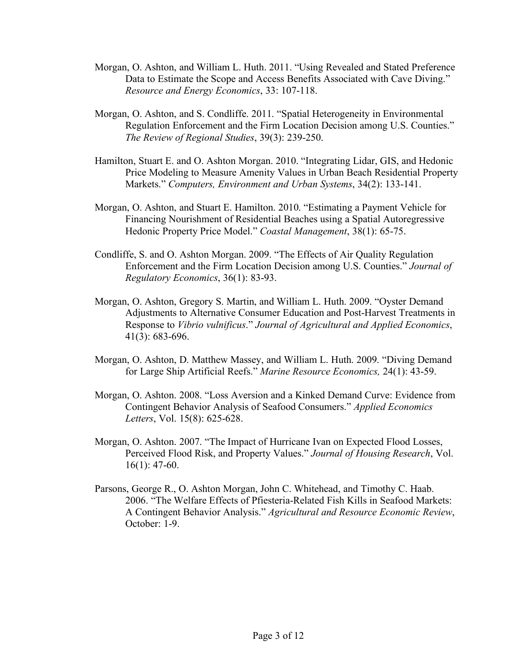- Morgan, O. Ashton, and William L. Huth. 2011. "Using Revealed and Stated Preference Data to Estimate the Scope and Access Benefits Associated with Cave Diving." *Resource and Energy Economics*, 33: 107-118.
- Morgan, O. Ashton, and S. Condliffe. 2011. "Spatial Heterogeneity in Environmental Regulation Enforcement and the Firm Location Decision among U.S. Counties." *The Review of Regional Studies*, 39(3): 239-250.
- Hamilton, Stuart E. and O. Ashton Morgan. 2010. "Integrating Lidar, GIS, and Hedonic Price Modeling to Measure Amenity Values in Urban Beach Residential Property Markets." *Computers, Environment and Urban Systems*, 34(2): 133-141.
- Morgan, O. Ashton, and Stuart E. Hamilton. 2010. "Estimating a Payment Vehicle for Financing Nourishment of Residential Beaches using a Spatial Autoregressive Hedonic Property Price Model." *Coastal Management*, 38(1): 65-75.
- Condliffe, S. and O. Ashton Morgan. 2009. "The Effects of Air Quality Regulation Enforcement and the Firm Location Decision among U.S. Counties." *Journal of Regulatory Economics*, 36(1): 83-93.
- Morgan, O. Ashton, Gregory S. Martin, and William L. Huth. 2009. "Oyster Demand Adjustments to Alternative Consumer Education and Post-Harvest Treatments in Response to *Vibrio vulnificus*." *Journal of Agricultural and Applied Economics*, 41(3): 683-696.
- Morgan, O. Ashton, D. Matthew Massey, and William L. Huth. 2009. "Diving Demand for Large Ship Artificial Reefs." *Marine Resource Economics,* 24(1): 43-59.
- Morgan, O. Ashton. 2008. "Loss Aversion and a Kinked Demand Curve: Evidence from Contingent Behavior Analysis of Seafood Consumers." *Applied Economics Letters*, Vol. 15(8): 625-628.
- Morgan, O. Ashton. 2007. "The Impact of Hurricane Ivan on Expected Flood Losses, Perceived Flood Risk, and Property Values." *Journal of Housing Research*, Vol. 16(1): 47-60.
- Parsons, George R., O. Ashton Morgan, John C. Whitehead, and Timothy C. Haab. 2006. "The Welfare Effects of Pfiesteria-Related Fish Kills in Seafood Markets: A Contingent Behavior Analysis." *Agricultural and Resource Economic Review*, October: 1-9.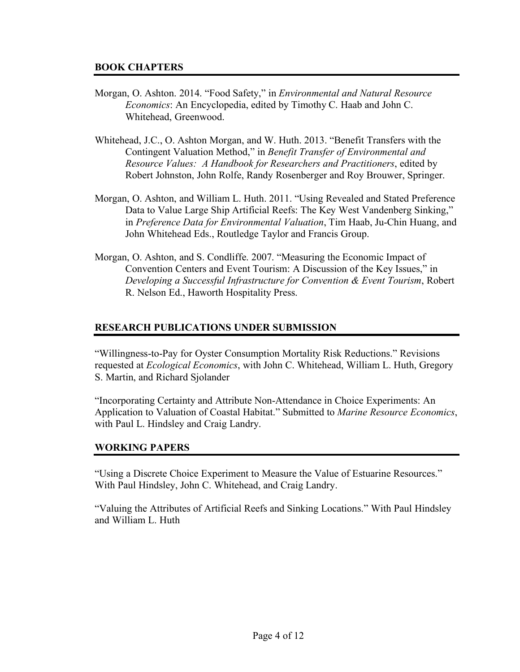## **BOOK CHAPTERS**

- Morgan, O. Ashton. 2014. "Food Safety," in *Environmental and Natural Resource Economics*: An Encyclopedia, edited by Timothy C. Haab and John C. Whitehead, Greenwood.
- Whitehead, J.C., O. Ashton Morgan, and W. Huth. 2013. "Benefit Transfers with the Contingent Valuation Method," in *Benefit Transfer of Environmental and Resource Values: A Handbook for Researchers and Practitioners*, edited by Robert Johnston, John Rolfe, Randy Rosenberger and Roy Brouwer, Springer.
- Morgan, O. Ashton, and William L. Huth. 2011. "Using Revealed and Stated Preference Data to Value Large Ship Artificial Reefs: The Key West Vandenberg Sinking," in *Preference Data for Environmental Valuation*, Tim Haab, Ju-Chin Huang, and John Whitehead Eds., Routledge Taylor and Francis Group.
- Morgan, O. Ashton, and S. Condliffe. 2007. "Measuring the Economic Impact of Convention Centers and Event Tourism: A Discussion of the Key Issues," in *Developing a Successful Infrastructure for Convention & Event Tourism*, Robert R. Nelson Ed., Haworth Hospitality Press.

## **RESEARCH PUBLICATIONS UNDER SUBMISSION**

"Willingness-to-Pay for Oyster Consumption Mortality Risk Reductions." Revisions requested at *Ecological Economics*, with John C. Whitehead, William L. Huth, Gregory S. Martin, and Richard Sjolander

"Incorporating Certainty and Attribute Non-Attendance in Choice Experiments: An Application to Valuation of Coastal Habitat." Submitted to *Marine Resource Economics*, with Paul L. Hindsley and Craig Landry.

### **WORKING PAPERS**

"Using a Discrete Choice Experiment to Measure the Value of Estuarine Resources." With Paul Hindsley, John C. Whitehead, and Craig Landry.

"Valuing the Attributes of Artificial Reefs and Sinking Locations." With Paul Hindsley and William L. Huth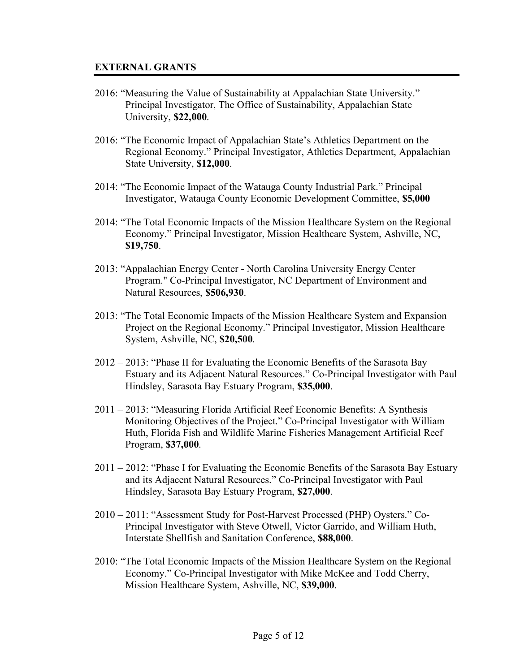#### **EXTERNAL GRANTS**

- 2016: "Measuring the Value of Sustainability at Appalachian State University." Principal Investigator, The Office of Sustainability, Appalachian State University, **\$22,000**.
- 2016: "The Economic Impact of Appalachian State's Athletics Department on the Regional Economy." Principal Investigator, Athletics Department, Appalachian State University, **\$12,000**.
- 2014: "The Economic Impact of the Watauga County Industrial Park." Principal Investigator, Watauga County Economic Development Committee, **\$5,000**
- 2014: "The Total Economic Impacts of the Mission Healthcare System on the Regional Economy." Principal Investigator, Mission Healthcare System, Ashville, NC, **\$19,750**.
- 2013: "Appalachian Energy Center North Carolina University Energy Center Program." Co-Principal Investigator, NC Department of Environment and Natural Resources, **\$506,930**.
- 2013: "The Total Economic Impacts of the Mission Healthcare System and Expansion Project on the Regional Economy." Principal Investigator, Mission Healthcare System, Ashville, NC, **\$20,500**.
- 2012 2013: "Phase II for Evaluating the Economic Benefits of the Sarasota Bay Estuary and its Adjacent Natural Resources." Co-Principal Investigator with Paul Hindsley, Sarasota Bay Estuary Program, **\$35,000**.
- 2011 2013: "Measuring Florida Artificial Reef Economic Benefits: A Synthesis Monitoring Objectives of the Project." Co-Principal Investigator with William Huth, Florida Fish and Wildlife Marine Fisheries Management Artificial Reef Program, **\$37,000**.
- 2011 2012: "Phase I for Evaluating the Economic Benefits of the Sarasota Bay Estuary and its Adjacent Natural Resources." Co-Principal Investigator with Paul Hindsley, Sarasota Bay Estuary Program, **\$27,000**.
- 2010 2011: "Assessment Study for Post-Harvest Processed (PHP) Oysters." Co-Principal Investigator with Steve Otwell, Victor Garrido, and William Huth, Interstate Shellfish and Sanitation Conference, **\$88,000**.
- 2010: "The Total Economic Impacts of the Mission Healthcare System on the Regional Economy." Co-Principal Investigator with Mike McKee and Todd Cherry, Mission Healthcare System, Ashville, NC, **\$39,000**.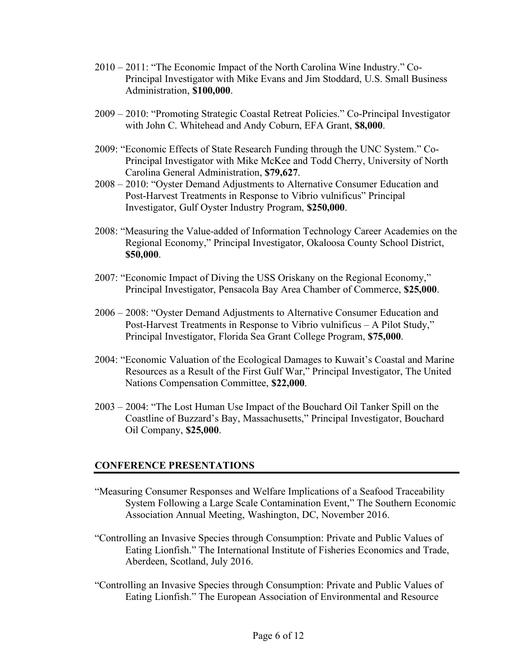- 2010 2011: "The Economic Impact of the North Carolina Wine Industry." Co-Principal Investigator with Mike Evans and Jim Stoddard, U.S. Small Business Administration, **\$100,000**.
- 2009 2010: "Promoting Strategic Coastal Retreat Policies." Co-Principal Investigator with John C. Whitehead and Andy Coburn, EFA Grant, **\$8,000**.
- 2009: "Economic Effects of State Research Funding through the UNC System." Co-Principal Investigator with Mike McKee and Todd Cherry, University of North Carolina General Administration, **\$79,627**.
- 2008 2010: "Oyster Demand Adjustments to Alternative Consumer Education and Post-Harvest Treatments in Response to Vibrio vulnificus" Principal Investigator, Gulf Oyster Industry Program, **\$250,000**.
- 2008: "Measuring the Value-added of Information Technology Career Academies on the Regional Economy," Principal Investigator, Okaloosa County School District, **\$50,000**.
- 2007: "Economic Impact of Diving the USS Oriskany on the Regional Economy," Principal Investigator, Pensacola Bay Area Chamber of Commerce, **\$25,000**.
- 2006 2008: "Oyster Demand Adjustments to Alternative Consumer Education and Post-Harvest Treatments in Response to Vibrio vulnificus – A Pilot Study," Principal Investigator, Florida Sea Grant College Program, **\$75,000**.
- 2004: "Economic Valuation of the Ecological Damages to Kuwait's Coastal and Marine Resources as a Result of the First Gulf War," Principal Investigator, The United Nations Compensation Committee, **\$22,000**.
- 2003 2004: "The Lost Human Use Impact of the Bouchard Oil Tanker Spill on the Coastline of Buzzard's Bay, Massachusetts," Principal Investigator, Bouchard Oil Company, **\$25,000**.

### **CONFERENCE PRESENTATIONS**

- "Measuring Consumer Responses and Welfare Implications of a Seafood Traceability System Following a Large Scale Contamination Event," The Southern Economic Association Annual Meeting, Washington, DC, November 2016.
- "Controlling an Invasive Species through Consumption: Private and Public Values of Eating Lionfish." The International Institute of Fisheries Economics and Trade, Aberdeen, Scotland, July 2016.
- "Controlling an Invasive Species through Consumption: Private and Public Values of Eating Lionfish." The European Association of Environmental and Resource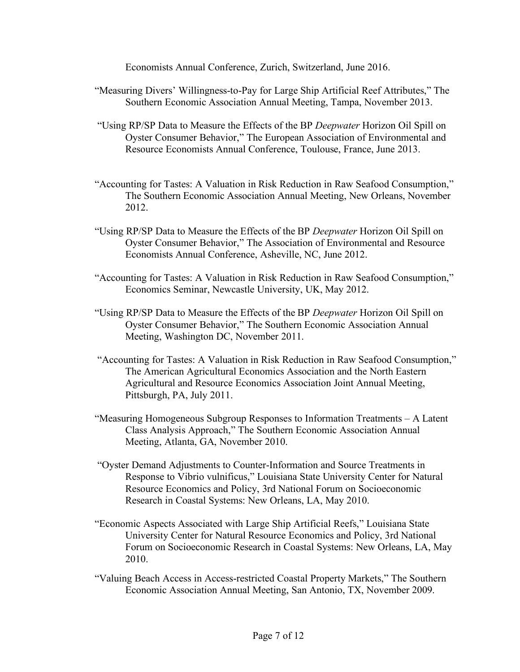Economists Annual Conference, Zurich, Switzerland, June 2016.

- "Measuring Divers' Willingness-to-Pay for Large Ship Artificial Reef Attributes," The Southern Economic Association Annual Meeting, Tampa, November 2013.
- "Using RP/SP Data to Measure the Effects of the BP *Deepwater* Horizon Oil Spill on Oyster Consumer Behavior," The European Association of Environmental and Resource Economists Annual Conference, Toulouse, France, June 2013.
- "Accounting for Tastes: A Valuation in Risk Reduction in Raw Seafood Consumption," The Southern Economic Association Annual Meeting, New Orleans, November 2012.
- "Using RP/SP Data to Measure the Effects of the BP *Deepwater* Horizon Oil Spill on Oyster Consumer Behavior," The Association of Environmental and Resource Economists Annual Conference, Asheville, NC, June 2012.
- "Accounting for Tastes: A Valuation in Risk Reduction in Raw Seafood Consumption," Economics Seminar, Newcastle University, UK, May 2012.
- "Using RP/SP Data to Measure the Effects of the BP *Deepwater* Horizon Oil Spill on Oyster Consumer Behavior," The Southern Economic Association Annual Meeting, Washington DC, November 2011.
- "Accounting for Tastes: A Valuation in Risk Reduction in Raw Seafood Consumption," The American Agricultural Economics Association and the North Eastern Agricultural and Resource Economics Association Joint Annual Meeting, Pittsburgh, PA, July 2011.
- "Measuring Homogeneous Subgroup Responses to Information Treatments A Latent Class Analysis Approach," The Southern Economic Association Annual Meeting, Atlanta, GA, November 2010.
- "Oyster Demand Adjustments to Counter-Information and Source Treatments in Response to Vibrio vulnificus," Louisiana State University Center for Natural Resource Economics and Policy, 3rd National Forum on Socioeconomic Research in Coastal Systems: New Orleans, LA, May 2010.
- "Economic Aspects Associated with Large Ship Artificial Reefs," Louisiana State University Center for Natural Resource Economics and Policy, 3rd National Forum on Socioeconomic Research in Coastal Systems: New Orleans, LA, May 2010.
- "Valuing Beach Access in Access-restricted Coastal Property Markets," The Southern Economic Association Annual Meeting, San Antonio, TX, November 2009.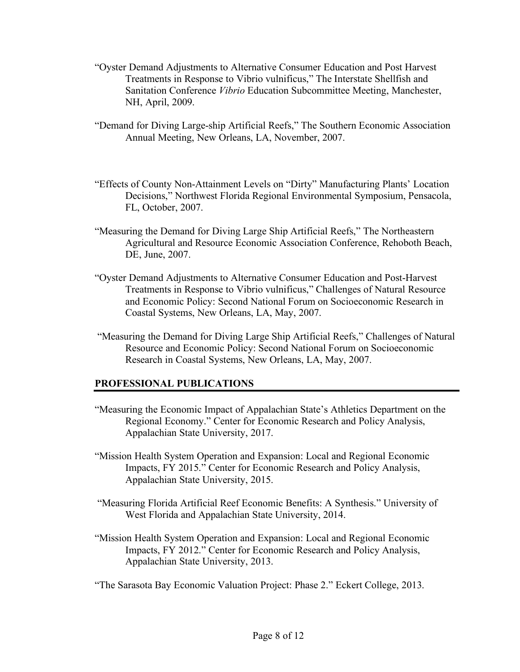- "Oyster Demand Adjustments to Alternative Consumer Education and Post Harvest Treatments in Response to Vibrio vulnificus," The Interstate Shellfish and Sanitation Conference *Vibrio* Education Subcommittee Meeting, Manchester, NH, April, 2009.
- "Demand for Diving Large-ship Artificial Reefs," The Southern Economic Association Annual Meeting, New Orleans, LA, November, 2007.
- "Effects of County Non-Attainment Levels on "Dirty" Manufacturing Plants' Location Decisions," Northwest Florida Regional Environmental Symposium, Pensacola, FL, October, 2007.
- "Measuring the Demand for Diving Large Ship Artificial Reefs," The Northeastern Agricultural and Resource Economic Association Conference, Rehoboth Beach, DE, June, 2007.
- "Oyster Demand Adjustments to Alternative Consumer Education and Post-Harvest Treatments in Response to Vibrio vulnificus," Challenges of Natural Resource and Economic Policy: Second National Forum on Socioeconomic Research in Coastal Systems, New Orleans, LA, May, 2007.
- "Measuring the Demand for Diving Large Ship Artificial Reefs," Challenges of Natural Resource and Economic Policy: Second National Forum on Socioeconomic Research in Coastal Systems, New Orleans, LA, May, 2007.

### **PROFESSIONAL PUBLICATIONS**

- "Measuring the Economic Impact of Appalachian State's Athletics Department on the Regional Economy." Center for Economic Research and Policy Analysis, Appalachian State University, 2017.
- "Mission Health System Operation and Expansion: Local and Regional Economic Impacts, FY 2015." Center for Economic Research and Policy Analysis, Appalachian State University, 2015.
- "Measuring Florida Artificial Reef Economic Benefits: A Synthesis." University of West Florida and Appalachian State University, 2014.
- "Mission Health System Operation and Expansion: Local and Regional Economic Impacts, FY 2012." Center for Economic Research and Policy Analysis, Appalachian State University, 2013.

"The Sarasota Bay Economic Valuation Project: Phase 2." Eckert College, 2013.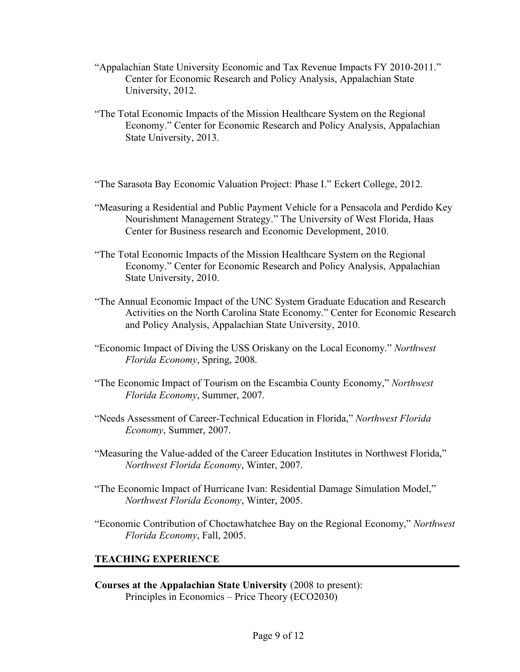- "Appalachian State University Economic and Tax Revenue Impacts FY 2010-2011." Center for Economic Research and Policy Analysis, Appalachian State University, 2012.
- "The Total Economic Impacts of the Mission Healthcare System on the Regional Economy." Center for Economic Research and Policy Analysis, Appalachian State University, 2013.

"The Sarasota Bay Economic Valuation Project: Phase I." Eckert College, 2012.

- "Measuring a Residential and Public Payment Vehicle for a Pensacola and Perdido Key Nourishment Management Strategy." The University of West Florida, Haas Center for Business research and Economic Development, 2010.
- "The Total Economic Impacts of the Mission Healthcare System on the Regional Economy." Center for Economic Research and Policy Analysis, Appalachian State University, 2010.
- "The Annual Economic Impact of the UNC System Graduate Education and Research Activities on the North Carolina State Economy." Center for Economic Research and Policy Analysis, Appalachian State University, 2010.
- "Economic Impact of Diving the USS Oriskany on the Local Economy." *Northwest Florida Economy*, Spring, 2008.
- "The Economic Impact of Tourism on the Escambia County Economy," *Northwest Florida Economy*, Summer, 2007.
- "Needs Assessment of Career-Technical Education in Florida," *Northwest Florida Economy*, Summer, 2007.
- "Measuring the Value-added of the Career Education Institutes in Northwest Florida," *Northwest Florida Economy*, Winter, 2007.
- "The Economic Impact of Hurricane Ivan: Residential Damage Simulation Model," *Northwest Florida Economy*, Winter, 2005.
- "Economic Contribution of Choctawhatchee Bay on the Regional Economy," *Northwest Florida Economy*, Fall, 2005.

# **TEACHING EXPERIENCE**

**Courses at the Appalachian State University** (2008 to present): Principles in Economics – Price Theory (ECO2030)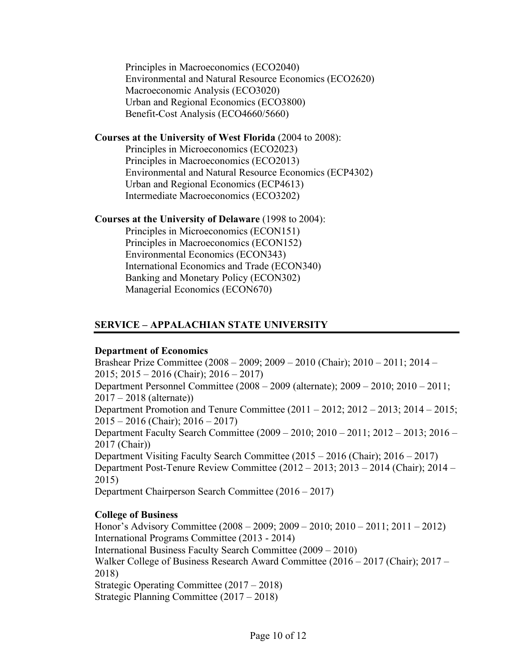Principles in Macroeconomics (ECO2040) Environmental and Natural Resource Economics (ECO2620) Macroeconomic Analysis (ECO3020) Urban and Regional Economics (ECO3800) Benefit-Cost Analysis (ECO4660/5660)

#### **Courses at the University of West Florida** (2004 to 2008):

Principles in Microeconomics (ECO2023) Principles in Macroeconomics (ECO2013) Environmental and Natural Resource Economics (ECP4302) Urban and Regional Economics (ECP4613) Intermediate Macroeconomics (ECO3202)

#### **Courses at the University of Delaware** (1998 to 2004):

Principles in Microeconomics (ECON151) Principles in Macroeconomics (ECON152) Environmental Economics (ECON343) International Economics and Trade (ECON340) Banking and Monetary Policy (ECON302) Managerial Economics (ECON670)

# **SERVICE – APPALACHIAN STATE UNIVERSITY**

#### **Department of Economics**

Brashear Prize Committee (2008 – 2009; 2009 – 2010 (Chair); 2010 – 2011; 2014 – 2015; 2015 – 2016 (Chair); 2016 – 2017) Department Personnel Committee (2008 – 2009 (alternate); 2009 – 2010; 2010 – 2011; 2017 – 2018 (alternate)) Department Promotion and Tenure Committee (2011 – 2012; 2012 – 2013; 2014 – 2015; 2015 – 2016 (Chair); 2016 – 2017) Department Faculty Search Committee (2009 – 2010; 2010 – 2011; 2012 – 2013; 2016 – 2017 (Chair)) Department Visiting Faculty Search Committee (2015 – 2016 (Chair); 2016 – 2017) Department Post-Tenure Review Committee (2012 – 2013; 2013 – 2014 (Chair); 2014 – 2015) Department Chairperson Search Committee (2016 – 2017)

### **College of Business**

Honor's Advisory Committee (2008 – 2009; 2009 – 2010; 2010 – 2011; 2011 – 2012) International Programs Committee (2013 - 2014) International Business Faculty Search Committee (2009 – 2010) Walker College of Business Research Award Committee (2016 – 2017 (Chair); 2017 – 2018) Strategic Operating Committee (2017 – 2018) Strategic Planning Committee (2017 – 2018)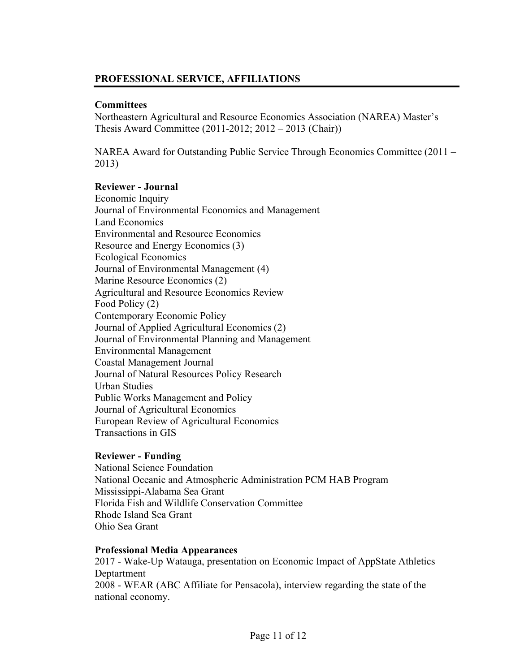# **PROFESSIONAL SERVICE, AFFILIATIONS**

## **Committees**

Northeastern Agricultural and Resource Economics Association (NAREA) Master's Thesis Award Committee (2011-2012; 2012 – 2013 (Chair))

NAREA Award for Outstanding Public Service Through Economics Committee (2011 – 2013)

## **Reviewer - Journal**

Economic Inquiry Journal of Environmental Economics and Management Land Economics Environmental and Resource Economics Resource and Energy Economics (3) Ecological Economics Journal of Environmental Management (4) Marine Resource Economics (2) Agricultural and Resource Economics Review Food Policy (2) Contemporary Economic Policy Journal of Applied Agricultural Economics (2) Journal of Environmental Planning and Management Environmental Management Coastal Management Journal Journal of Natural Resources Policy Research Urban Studies Public Works Management and Policy Journal of Agricultural Economics European Review of Agricultural Economics Transactions in GIS

### **Reviewer - Funding**

National Science Foundation National Oceanic and Atmospheric Administration PCM HAB Program Mississippi-Alabama Sea Grant Florida Fish and Wildlife Conservation Committee Rhode Island Sea Grant Ohio Sea Grant

### **Professional Media Appearances**

2017 - Wake-Up Watauga, presentation on Economic Impact of AppState Athletics Deptartment 2008 - WEAR (ABC Affiliate for Pensacola), interview regarding the state of the national economy.